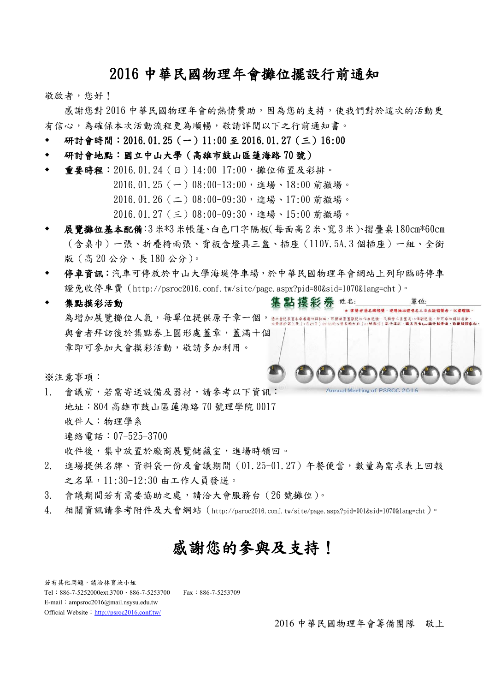# 2016 中華民國物理年會攤位擺設行前通知

敬啟者,您好!

 感謝您對 2016 中華民國物理年會的熱情贊助,因為您的支持,使我們對於這次的活動更 有信心,為確保本次活動流程更為順暢,敬請詳閱以下之行前通知書。

- 研討會時間: 2016.01.25 (一)11:00 至 2016.01.27 (三)16:00
- 研討會地點:國立中山大學(高雄市鼓山區蓮海路 70 號)
- 重要時程:2016.01.24(日)14:00-17:00,攤位佈置及彩排。

2016.01.25(一)08:00-13:00,進場、18:00 前撤場。

- 2016.01.26(二)08:00-09:30,進場、17:00 前撤場。
- 2016.01.27(三)08:00-09:30,進場、15:00 前撤場。
- 展覽攤位基本配備:3米\*3米帳篷、白色ㄇ字隔板(每面高2米、寬3米)、摺疊桌180cm\*60cm (含桌巾)一張、折疊椅兩張、背板含燈具三盞、插座(110V.5A.3 個插座)一組、全銜 版(高 20 公分、長 180 公分)。
- 停車資訊:汽車可停放於中山大學海堤停車場,於中華民國物理年會網站上列印臨時停車 證免收停車費 (http://psroc2016.conf.tw/site/page.aspx?pid=80&sid=1070&lang=cht)。
- 集點摸彩券 姓名: 單位: 集點摸彩活動 \* 得獎者憑名牌領獎·現場抽出經唱名三次未能領獎者·以棄權論 為增加展覽攤位人氣,每單位提供原子章一個, 、<br><br>彩・舞品包含Iped與行動電源・敬請頭頭身<br> .<br>(<br>26<mark>號種</mark>位) 與會者拜訪後於集點券上圓形處蓋章,蓋滿十個 章即可參加大會摸彩活動,敬請多加利用。

※注意事項:

- Annual Meeting of PSROC 2016 1. 會議前,若需寄送設備及器材,請參考以下資訊: 地址:804 高雄市鼓山區蓮海路 70 號理學院 0017 收件人:物理學系 連絡電話:07-525-3700 收件後,集中放置於廠商展覽儲藏室,進場時領回。
- 2. 進場提供名牌、資料袋一份及會議期間(01.25-01.27)午餐便當,數量為需求表上回報 之名單,11:30-12:30 由工作人員發送。
- 3. 會議期間若有需要協助之處,請洽大會服務台(26號攤位)。
- 4. 相關資訊請參考附件及大會網站(http://psroc2016.conf.tw/site/page.aspx?pid=901&sid=1070&lang=cht)。

# 感謝您的參與及支持!

若有其他問題,請洽林育汝小姐 Tel:886-7-5252000ext.3700、886-7-5253700 Fax:886-7-5253709 E-mail: ampsroc2016@mail.nsysu.edu.tw Official Website: <http://psroc2016.conf.tw/>

2016 中華民國物理年會籌備團隊 敬上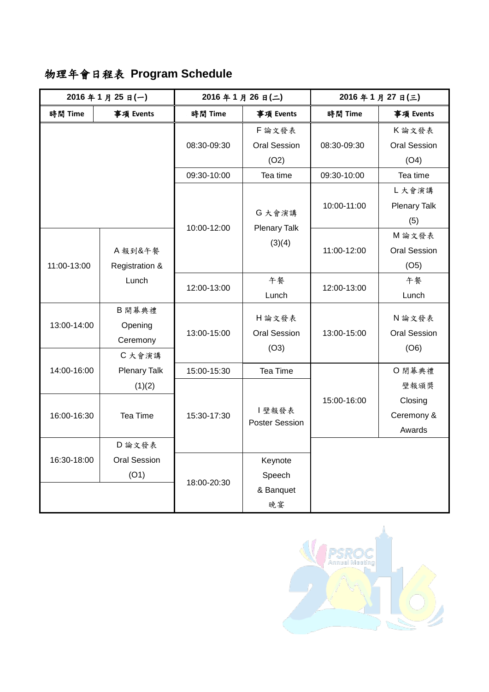# 物理年會日程表 **Program Schedule**

| 2016年1月25日(一)        |                         | 2016年1月26日(二)           |                               | 2016年1月27日(三) |                                     |
|----------------------|-------------------------|-------------------------|-------------------------------|---------------|-------------------------------------|
| 時間 Time<br>事項 Events |                         | 時間 Time                 | 事項 Events                     | 時間 Time       | 事項 Events                           |
|                      |                         | 08:30-09:30             | F論文發表                         |               | K論文發表                               |
|                      |                         |                         | <b>Oral Session</b>           | 08:30-09:30   | <b>Oral Session</b>                 |
|                      |                         |                         | (O2)                          |               | (O4)                                |
|                      |                         | Tea time<br>09:30-10:00 |                               | 09:30-10:00   | Tea time                            |
|                      |                         |                         | G 大會演講                        | 10:00-11:00   | L大會演講<br><b>Plenary Talk</b><br>(5) |
|                      |                         | 10:00-12:00             | <b>Plenary Talk</b><br>(3)(4) | 11:00-12:00   | M 論文發表                              |
|                      | A 報到&午餐                 |                         |                               |               | <b>Oral Session</b>                 |
| 11:00-13:00          | Registration &<br>Lunch |                         |                               |               | (O5)                                |
|                      |                         | 12:00-13:00             | 午餐                            | 12:00-13:00   | 午餐                                  |
|                      |                         |                         | Lunch                         |               | Lunch                               |
| 13:00-14:00          | B開幕典禮                   |                         | H 論文發表                        |               | N 論文發表                              |
|                      | Opening                 | 13:00-15:00             | <b>Oral Session</b>           | 13:00-15:00   | <b>Oral Session</b>                 |
|                      | Ceremony                |                         | (O3)                          |               | (06)                                |
| 14:00-16:00          | C 大會演講                  |                         |                               |               |                                     |
|                      | <b>Plenary Talk</b>     | 15:00-15:30             | Tea Time                      |               | O 閉幕典禮                              |
|                      | (1)(2)                  |                         | 壁報發表<br>Poster Session        | 15:00-16:00   | 壁報頒獎                                |
| 16:00-16:30          | Tea Time                | 15:30-17:30             |                               |               | Closing                             |
|                      |                         |                         |                               |               | Ceremony &                          |
|                      |                         |                         |                               |               | Awards                              |
| 16:30-18:00          | D 論文發表                  |                         |                               |               |                                     |
|                      | <b>Oral Session</b>     | 18:00-20:30             | Keynote                       |               |                                     |
|                      | (O1)                    |                         | Speech                        |               |                                     |
|                      |                         |                         | & Banquet                     |               |                                     |
|                      |                         |                         | 晚宴                            |               |                                     |

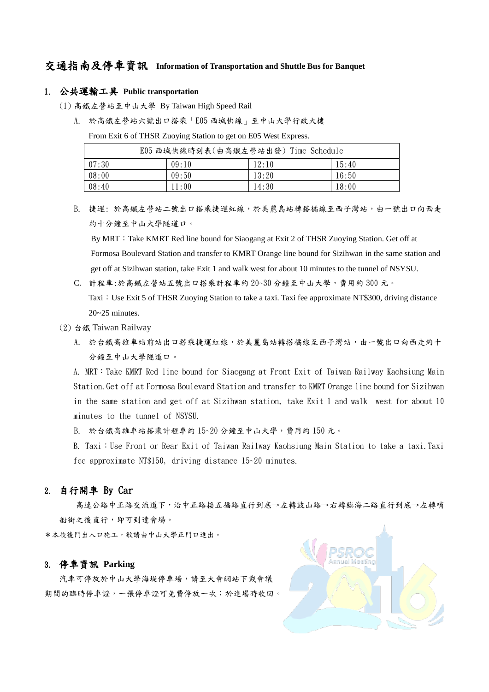## 交通指南及停車資訊 **Information of Transportation and Shuttle Bus for Banquet**

#### 1. 公共運輸工具 **Public transportation**

(1) 高鐵左營站至中山大學 By Taiwan High Speed Rail

A. 於高鐵左營站六號出口搭乘「E05 西城快線」至中山大學行政大樓

From Exit 6 of THSR Zuoying Station to get on E05 West Express.

| E05 西城快線時刻表(由高鐵左營站出發) Time Schedule |       |       |       |  |  |  |
|-------------------------------------|-------|-------|-------|--|--|--|
| 07:30                               | 09:10 | 12:10 | 15:40 |  |  |  |
| 08:00                               | 09:50 | 13:20 | 16:50 |  |  |  |
| 08:40                               | 11:00 | 14:30 | 18:00 |  |  |  |

B. 捷運:於高鐵左營站二號出口搭乘捷運紅線,於美麗島站轉搭橘線至西子灣站,由一號出口向西走 約十分鐘至中山大學隧道口。

By MRT: Take KMRT Red line bound for Siaogang at Exit 2 of THSR Zuoying Station. Get off at Formosa Boulevard Station and transfer to KMRT Orange line bound for Sizihwan in the same station and get off at Sizihwan station, take Exit 1 and walk west for about 10 minutes to the tunnel of NSYSU.

- C. 計程車:於高鐵左營站五號出口搭乘計程車約 20~30 分鐘至中山大學,費用約 300 元。 Taxi:Use Exit 5 of THSR Zuoying Station to take a taxi. Taxi fee approximate NT\$300, driving distance 20~25 minutes.
- (2) 台鐵 Taiwan Railway
	- A. 於台鐵高雄車站前站出口搭乘捷運紅線,於美麗島站轉搭橘線至西子灣站,由一號出口向西走約十 分鐘至中山大學隧道口。

A. MRT:Take KMRT Red line bound for Siaogang at Front Exit of Taiwan Railway Kaohsiung Main Station.Get off at Formosa Boulevard Station and transfer to KMRT Orange line bound for Sizihwan in the same station and get off at Sizihwan station, take Exit 1 and walk west for about 10 minutes to the tunnel of NSYSU.

B. 於台鐵高雄車站搭乘計程車約 15~20 分鐘至中山大學,費用約 150 元。

B. Taxi: Use Front or Rear Exit of Taiwan Railway Kaohsiung Main Station to take a taxi.Taxi fee approximate NT\$150, driving distance 15~20 minutes.

### 2. 自行開車 By Car

 高速公路中正路交流道下,沿中正路接五福路直行到底→左轉鼓山路→右轉臨海二路直行到底→左轉哨 船街之後直行,即可到達會場。

\*本校後門出入口施工,敬請由中山大學正門口進出。

### 3. 停車資訊 **Parking**

汽車可停放於中山大學海堤停車場,請至大會網站下載會議 期間的臨時停車證,一張停車證可免費停放一次;於進場時收回。